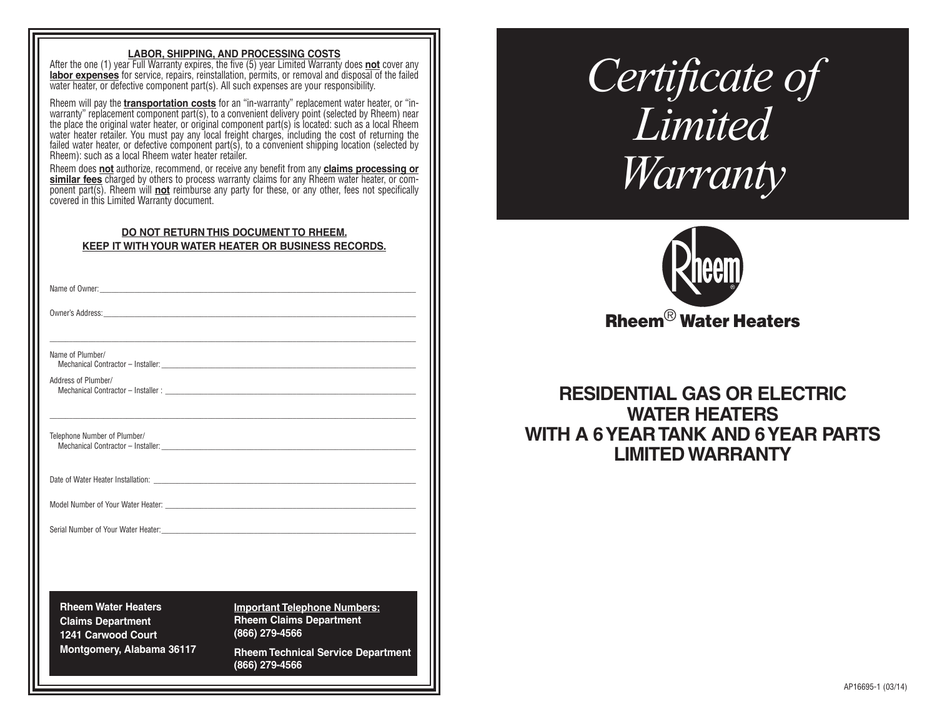## **LABOR, SHIPPING, AND PROCESSING COSTS**

After the one (1) year Full Warranty expires, the five (5) year Limited Warranty does **not** cover any **labor expenses** for service, repairs, reinstallation, permits, or removal and disposal of the failed water heater, or defective component part(s). All such expenses are your responsibility.

Rheem will pay the **transportation costs** for an "in-warranty" replacement water heater, or "inwarranty" replacement component part(s), to a convenient delivery point (selected by Rheem) near the place the original water heater, or original component part(s) is located: such as a local Rheem water heater retailer. You must pay any local freight charges, including the cost of returning the failed water heater, or defective component part(s), to a convenient shipping location (selected by Rheem): such as a local Rheem water heater retailer.

Rheem does **not** authorize, recommend, or receive any benefit from any **claims processing or similar fees** charged by others to process warranty claims for any Rheem water heater, or component part(s). Rheem will **not** reimburse any party for these, or any other, fees not specifically covered in this Limited Warranty document.

| DO NOT RETURN THIS DOCUMENT TO RHEEM.                      |
|------------------------------------------------------------|
| <b>KEEP IT WITH YOUR WATER HEATER OR BUSINESS RECORDS.</b> |

\_\_\_\_\_\_\_\_\_\_\_\_\_\_\_\_\_\_\_\_\_\_\_\_\_\_\_\_\_\_\_\_\_\_\_\_\_\_\_\_\_\_\_\_\_\_\_\_\_\_\_\_\_\_\_\_\_\_\_\_\_\_\_\_\_\_\_\_\_\_\_\_\_\_\_\_\_\_\_\_\_\_\_\_\_\_\_\_\_\_\_\_\_\_\_

\_\_\_\_\_\_\_\_\_\_\_\_\_\_\_\_\_\_\_\_\_\_\_\_\_\_\_\_\_\_\_\_\_\_\_\_\_\_\_\_\_\_\_\_\_\_\_\_\_\_\_\_\_\_\_\_\_\_\_\_\_\_\_\_\_\_\_\_\_\_\_\_\_\_\_\_\_\_\_\_\_\_\_\_\_\_\_\_\_\_\_\_\_\_\_

Name of Owner:

Owner's Address:

Name of Plumber/

Mechanical Contractor - Installer:

Address of Plumber/ Mechanical Contractor – Installer :

Telephone Number of Plumber/ Mechanical Contractor – Installer:

Date of Water Heater Installation:

Model Number of Your Water Heater:

Serial Number of Your Water Heater:

**Rheem Water Heaters Claims Department 1241 Carwood Court Montgomery, Alabama 36117** **Important Telephone Numbers: Rheem Claims Department (866) 279-4566**

**Rheem Technical Service Department (866) 279-4566** 

# *Certificate of Limited Warranty*



Rheem® Water Heaters

**RESIDENTIAL GAS OR ELECTRIC WATER HEATERS WITH A 6 YEAR TANK AND 6 YEAR PARTS LIMITED WARRANTY**